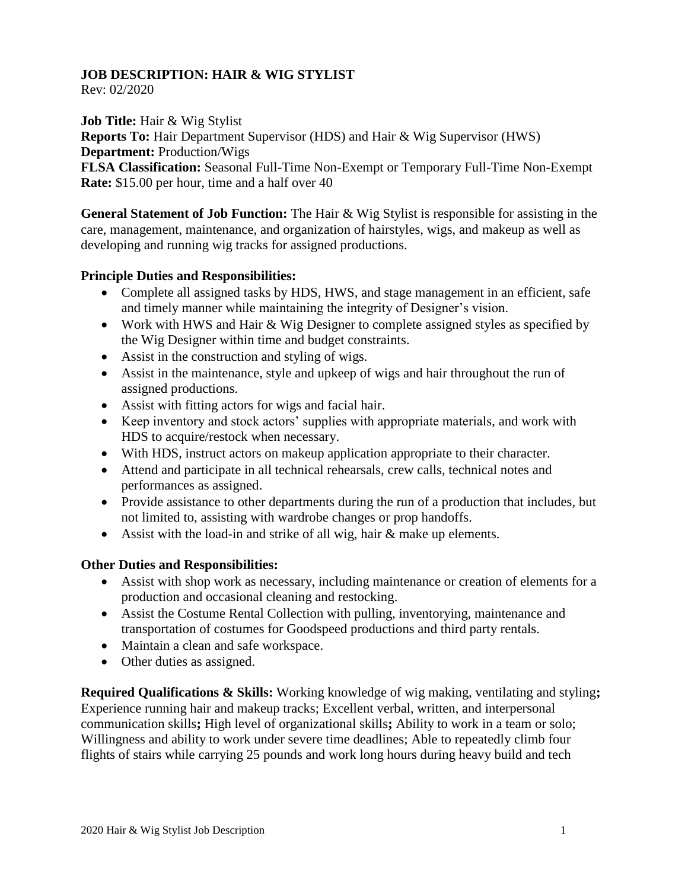## **JOB DESCRIPTION: HAIR & WIG STYLIST**

Rev: 02/2020

**Job Title:** Hair & Wig Stylist

**Reports To:** Hair Department Supervisor (HDS) and Hair & Wig Supervisor (HWS) **Department:** Production/Wigs

**FLSA Classification:** Seasonal Full-Time Non-Exempt or Temporary Full-Time Non-Exempt **Rate:** \$15.00 per hour, time and a half over 40

**General Statement of Job Function:** The Hair & Wig Stylist is responsible for assisting in the care, management, maintenance, and organization of hairstyles, wigs, and makeup as well as developing and running wig tracks for assigned productions.

## **Principle Duties and Responsibilities:**

- Complete all assigned tasks by HDS, HWS, and stage management in an efficient, safe and timely manner while maintaining the integrity of Designer's vision.
- Work with HWS and Hair & Wig Designer to complete assigned styles as specified by the Wig Designer within time and budget constraints.
- Assist in the construction and styling of wigs.
- Assist in the maintenance, style and upkeep of wigs and hair throughout the run of assigned productions.
- Assist with fitting actors for wigs and facial hair.
- Keep inventory and stock actors' supplies with appropriate materials, and work with HDS to acquire/restock when necessary.
- With HDS, instruct actors on makeup application appropriate to their character.
- Attend and participate in all technical rehearsals, crew calls, technical notes and performances as assigned.
- Provide assistance to other departments during the run of a production that includes, but not limited to, assisting with wardrobe changes or prop handoffs.
- Assist with the load-in and strike of all wig, hair & make up elements.

## **Other Duties and Responsibilities:**

- Assist with shop work as necessary, including maintenance or creation of elements for a production and occasional cleaning and restocking.
- Assist the Costume Rental Collection with pulling, inventorying, maintenance and transportation of costumes for Goodspeed productions and third party rentals.
- Maintain a clean and safe workspace.
- Other duties as assigned.

**Required Qualifications & Skills:** Working knowledge of wig making, ventilating and styling**;**  Experience running hair and makeup tracks; Excellent verbal, written, and interpersonal communication skills**;** High level of organizational skills**;** Ability to work in a team or solo; Willingness and ability to work under severe time deadlines; Able to repeatedly climb four flights of stairs while carrying 25 pounds and work long hours during heavy build and tech